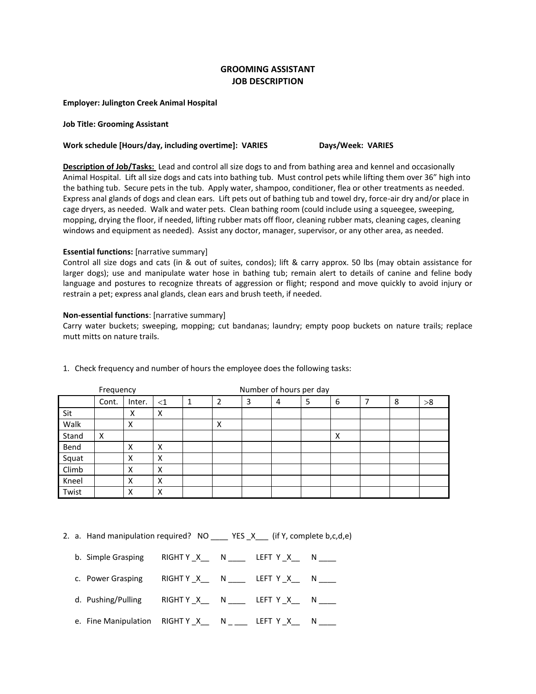# **GROOMING ASSISTANT JOB DESCRIPTION**

**Employer: Julington Creek Animal Hospital**

### **Job Title: Grooming Assistant**

### Work schedule [Hours/day, including overtime]: VARIES **Days/Week: VARIES**

**Description of Job/Tasks:** Lead and control all size dogs to and from bathing area and kennel and occasionally Animal Hospital. Lift all size dogs and cats into bathing tub. Must control pets while lifting them over 36" high into the bathing tub. Secure pets in the tub. Apply water, shampoo, conditioner, flea or other treatments as needed. Express anal glands of dogs and clean ears. Lift pets out of bathing tub and towel dry, force-air dry and/or place in cage dryers, as needed. Walk and water pets. Clean bathing room (could include using a squeegee, sweeping, mopping, drying the floor, if needed, lifting rubber mats off floor, cleaning rubber mats, cleaning cages, cleaning windows and equipment as needed). Assist any doctor, manager, supervisor, or any other area, as needed.

### **Essential functions:** [narrative summary]

Control all size dogs and cats (in & out of suites, condos); lift & carry approx. 50 lbs (may obtain assistance for larger dogs); use and manipulate water hose in bathing tub; remain alert to details of canine and feline body language and postures to recognize threats of aggression or flight; respond and move quickly to avoid injury or restrain a pet; express anal glands, clean ears and brush teeth, if needed.

## **Non-essential functions**: [narrative summary]

Carry water buckets; sweeping, mopping; cut bandanas; laundry; empty poop buckets on nature trails; replace mutt mitts on nature trails.

| Frequency |       |        |       | Number of hours per day |                |   |   |   |   |  |   |    |
|-----------|-------|--------|-------|-------------------------|----------------|---|---|---|---|--|---|----|
|           | Cont. | Inter. | $<$ 1 |                         | $\overline{2}$ | 3 | 4 | 5 | 6 |  | 8 | >8 |
| Sit       |       | х      | x     |                         |                |   |   |   |   |  |   |    |
| Walk      |       | x      |       |                         | Χ              |   |   |   |   |  |   |    |
| Stand     | X     |        |       |                         |                |   |   |   | X |  |   |    |
| Bend      |       | x      | Χ     |                         |                |   |   |   |   |  |   |    |
| Squat     |       | Χ      | X     |                         |                |   |   |   |   |  |   |    |
| Climb     |       | X      | Χ     |                         |                |   |   |   |   |  |   |    |
| Kneel     |       | x      | x     |                         |                |   |   |   |   |  |   |    |
| Twist     |       | х      | Χ     |                         |                |   |   |   |   |  |   |    |

1. Check frequency and number of hours the employee does the following tasks:

2. a. Hand manipulation required? NO \_\_\_\_ YES \_X \_\_ (if Y, complete b,c,d,e)

- b. Simple Grasping RIGHT Y X \_\_ N \_\_\_\_ LEFT Y X \_\_ N
- c. Power Grasping RIGHT Y \_X\_\_ N \_\_\_\_ LEFT Y \_X\_\_ N \_\_\_\_
- d. Pushing/Pulling RIGHT Y \_X\_\_ N \_\_\_\_ LEFT Y \_X\_\_ N \_\_\_\_
- e. Fine Manipulation  $RIGHT Y_X_ N_ _1$  N \_\_\_\_ LEFT Y \_X\_\_ N \_\_\_\_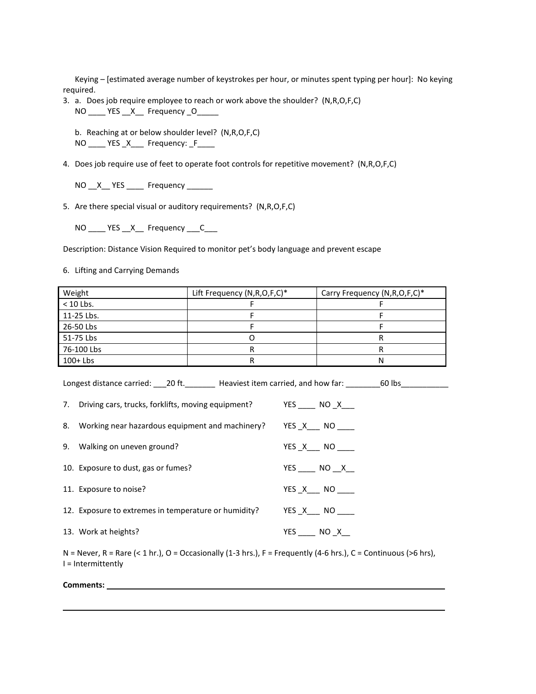Keying – [estimated average number of keystrokes per hour, or minutes spent typing per hour]: No keying required.

- 3. a. Does job require employee to reach or work above the shoulder? (N,R,O,F,C) NO \_\_\_\_ YES \_\_X\_\_ Frequency \_O\_\_\_\_\_
	- b. Reaching at or below shoulder level? (N,R,O,F,C) NO \_\_\_\_ YES \_X\_\_\_ Frequency: \_F\_\_\_\_
- 4. Does job require use of feet to operate foot controls for repetitive movement? (N,R,O,F,C)
	- NO \_\_X\_\_ YES \_\_\_\_\_ Frequency \_\_\_\_\_\_
- 5. Are there special visual or auditory requirements? (N,R,O,F,C)
	- NO \_\_\_\_ YES \_\_ X\_\_\_ Frequency \_\_\_ C\_\_\_\_

Description: Distance Vision Required to monitor pet's body language and prevent escape

6. Lifting and Carrying Demands

| Weight      | Lift Frequency (N,R,O,F,C)* | Carry Frequency (N, R, O, F, C)* |
|-------------|-----------------------------|----------------------------------|
| $< 10$ Lbs. |                             |                                  |
| 11-25 Lbs.  |                             |                                  |
| 26-50 Lbs   |                             |                                  |
| 51-75 Lbs   |                             |                                  |
| 76-100 Lbs  |                             |                                  |
| $100+Lbs$   |                             | N                                |

Longest distance carried: \_\_\_20 ft. \_\_\_\_\_\_\_\_ Heaviest item carried, and how far: \_\_\_\_\_\_\_60 lbs\_\_\_\_\_\_\_\_\_\_\_

| 7. Driving cars, trucks, forklifts, moving equipment? | $YES$ NO $X$         |
|-------------------------------------------------------|----------------------|
| 8. Working near hazardous equipment and machinery?    | $YES\_X$ NO $\qquad$ |
| 9. Walking on uneven ground?                          | $YES\_X$ NO ______   |
| 10. Exposure to dust, gas or fumes?                   | $YES$ NO $X$         |
| 11. Exposure to noise?                                | YES X NO             |
| 12. Exposure to extremes in temperature or humidity?  | $YES\_X$ NO $\qquad$ |
| 13. Work at heights?                                  | $YES$ NO $X$         |

N = Never, R = Rare (< 1 hr.), O = Occasionally (1-3 hrs.), F = Frequently (4-6 hrs.), C = Continuous (>6 hrs.), I = Intermittently

**Comments:**